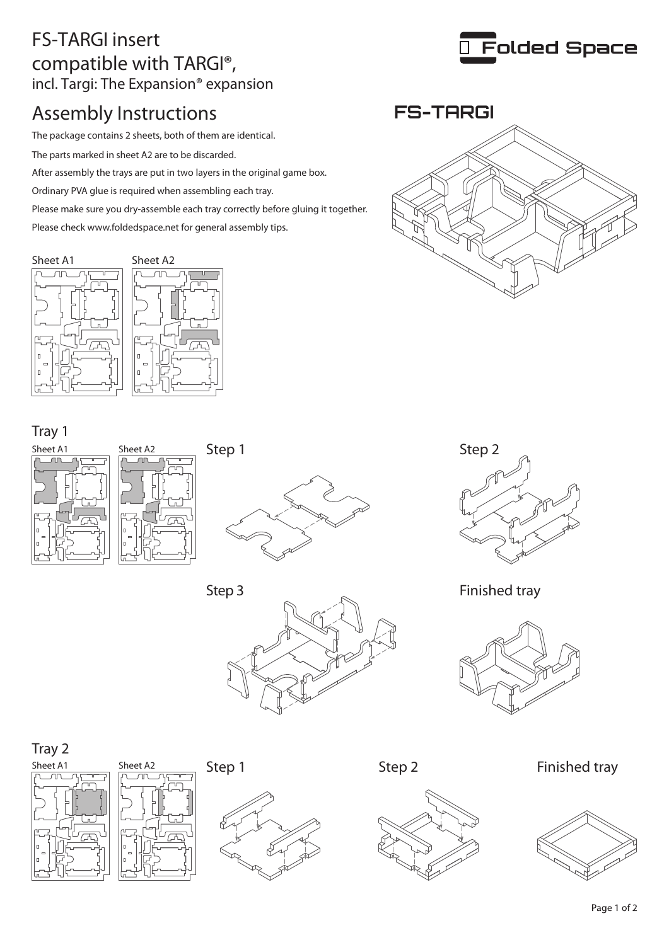## FS-TARGI insert compatible with TARGI®, incl. Targi: The Expansion® expansion

# Assembly Instructions

The package contains 2 sheets, both of them are identical.

The parts marked in sheet A2 are to be discarded.

After assembly the trays are put in two layers in the original game box.

Ordinary PVA glue is required when assembling each tray.

Please make sure you dry-assemble each tray correctly before gluing it together.

Please check www.foldedspace.net for general assembly tips.





#### Tray 1













#### Tray 2











#### Step 1 Step 2 Finished tray





**FS-TARGI**